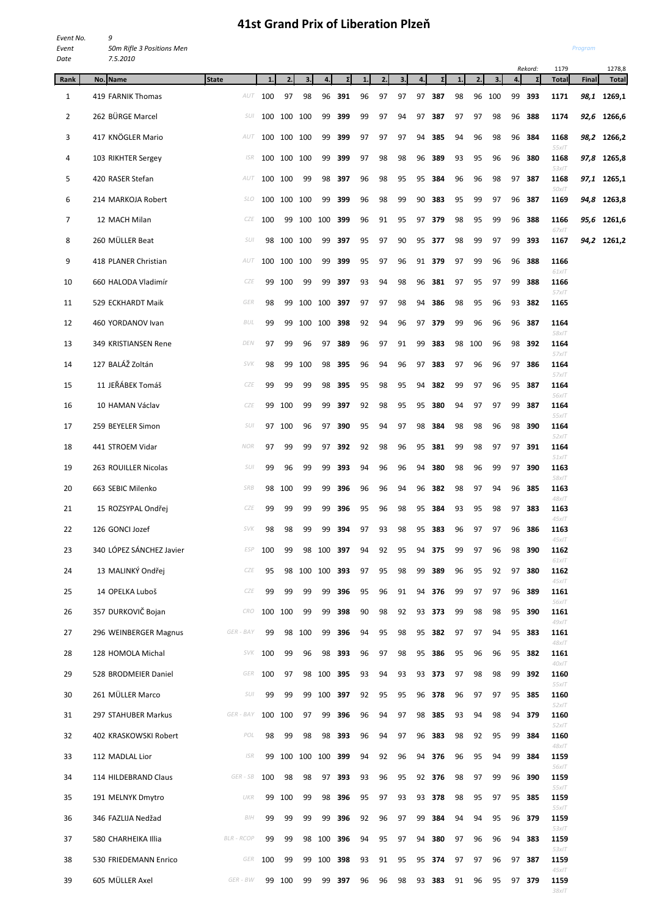## **41st Grand Prix of Liberation Plzeň**

| Event No. | q                         |
|-----------|---------------------------|
| Event     | 50m Rifle 3 Positions Men |
| Date      | 7.5.2010                  |

*Program*

*38xIT*

|                |                          |                   |     |             |         |            |             |    |    |    |    |        |    |     |     |    | Rekord:  | 1179             |       | 1278,8       |
|----------------|--------------------------|-------------------|-----|-------------|---------|------------|-------------|----|----|----|----|--------|----|-----|-----|----|----------|------------------|-------|--------------|
| Rank           | No. Name                 | State             | 1.  | 2.          | 3.      | 4.         | $\Sigma$    | 1. | 2. | 3. | 4. | ΣI     | 1. | 2.  | 3.  | 4. | $\Sigma$ | <b>Total</b>     | Final | <b>Total</b> |
| $\mathbf{1}$   | 419 FARNIK Thomas        | AUT               | 100 | 97          | 98      | 96         | 391         | 96 | 97 | 97 | 97 | 387    | 98 | 96  | 100 | 99 | 393      | 1171             | 98,1  | 1269,1       |
| $\overline{2}$ | 262 BÜRGE Marcel         | SUI               | 100 | 100 100     |         | 99         | 399         | 99 | 97 | 94 | 97 | 387    | 97 | 97  | 98  | 96 | 388      | 1174             | 92,6  | 1266,6       |
| 3              | 417 KNÖGLER Mario        | AUT               |     | 100 100 100 |         | 99         | 399         | 97 | 97 | 97 | 94 | 385    | 94 | 96  | 98  | 96 | 384      | 1168<br>$55x$ IT | 98,2  | 1266,2       |
| 4              | 103 RIKHTER Sergey       | ISR               |     | 100 100     | 100     | 99         | 399         | 97 | 98 | 98 | 96 | 389    | 93 | 95  | 96  |    | 96 380   | 1168<br>$53x$ IT | 97,8  | 1265,8       |
| 5              | 420 RASER Stefan         | AUT               |     | 100 100     | 99      | 98         | 397         | 96 | 98 | 95 | 95 | 384    | 96 | 96  | 98  |    | 97 387   | 1168<br>50x1T    |       | 97,1 1265,1  |
| 6              | 214 MARKOJA Robert       | <b>SLO</b>        | 100 | 100         | 100     | 99         | 399         | 96 | 98 | 99 | 90 | 383    | 95 | 99  | 97  |    | 96 387   | 1169             |       | 94,8 1263,8  |
| 7              | 12 MACH Milan            | CZE               | 100 | 99          | 100 100 |            | 399         | 96 | 91 | 95 | 97 | 379    | 98 | 95  | 99  | 96 | 388      | 1166<br>$67x$ IT |       | 95,6 1261,6  |
| 8              | 260 MÜLLER Beat          | SUI               | 98  | 100         | 100     | 99         | 397         | 95 | 97 | 90 | 95 | 377    | 98 | 99  | 97  | 99 | 393      | 1167             |       | 94,2 1261,2  |
| 9              | 418 PLANER Christian     | AUT               | 100 | 100         | 100     | 99         | 399         | 95 | 97 | 96 | 91 | 379    | 97 | 99  | 96  | 96 | 388      | 1166<br>$61x$ IT |       |              |
| 10             | 660 HALODA Vladimír      | CZE               | 99  | 100         | 99      | 99         | 397         | 93 | 94 | 98 | 96 | 381    | 97 | 95  | 97  | 99 | 388      | 1166<br>$57x$ IT |       |              |
| 11             | 529 ECKHARDT Maik        | GER               | 98  | 99          |         | 100 100    | 397         | 97 | 97 | 98 | 94 | 386    | 98 | 95  | 96  | 93 | 382      | 1165             |       |              |
| 12             | 460 YORDANOV Ivan        | BUL               | 99  | 99          |         | 100 100    | 398         | 92 | 94 | 96 | 97 | 379    | 99 | 96  | 96  | 96 | 387      | 1164             |       |              |
| 13             | 349 KRISTIANSEN Rene     | DEN               | 97  | 99          | 96      | 97         | 389         | 96 | 97 | 91 | 99 | 383    | 98 | 100 | 96  | 98 | 392      | 58xIT<br>1164    |       |              |
| 14             | 127 BALÁŽ Zoltán         | SVK               | 98  | 99          | 100     | 98         | 395         | 96 | 94 | 96 | 97 | 383    | 97 | 96  | 96  | 97 | 386      | $57x$ IT<br>1164 |       |              |
| 15             | 11 JEŘÁBEK Tomáš         | <b>CZE</b>        | 99  | 99          | 99      | 98         | 395         | 95 | 98 | 95 | 94 | 382    | 99 | 97  | 96  |    | 95 387   | $57x$ IT<br>1164 |       |              |
| 16             | 10 HAMAN Václav          | CZE               | 99  | 100         | 99      | 99         | 397         | 92 | 98 | 95 | 95 | 380    | 94 | 97  | 97  | 99 | 387      | 56xIT<br>1164    |       |              |
| 17             | 259 BEYELER Simon        | SUI               |     | 97 100      | 96      | 97         | 390         | 95 | 94 | 97 | 98 | 384    | 98 | 98  | 96  | 98 | 390      | $55x$ IT<br>1164 |       |              |
| 18             | 441 STROEM Vidar         | <b>NOR</b>        | 97  | 99          | 99      | 97         | 392         | 92 | 98 | 96 | 95 | 381    | 99 | 98  | 97  |    | 97 391   | $52x$ IT<br>1164 |       |              |
| 19             | 263 ROUILLER Nicolas     | SUI               | 99  | 96          | 99      | 99         | 393         | 94 | 96 | 96 | 94 | 380    | 98 | 96  | 99  |    | 97 390   | $51x$ IT<br>1163 |       |              |
| 20             | 663 SEBIC Milenko        | SRB               | 98  | 100         | 99      | 99         | 396         | 96 | 96 | 94 | 96 | 382    | 98 | 97  | 94  |    | 96 385   | 58xIT<br>1163    |       |              |
| 21             | 15 ROZSYPAL Ondřej       | CZE               | 99  | 99          | 99      | 99         | 396         | 95 | 96 | 98 | 95 | 384    | 93 | 95  | 98  | 97 | 383      | $48x$ IT<br>1163 |       |              |
| 22             | 126 GONCI Jozef          | <b>SVK</b>        | 98  | 98          | 99      | 99         | 394         | 97 | 93 | 98 | 95 | 383    | 96 | 97  | 97  |    | 96 386   | $45x$ IT<br>1163 |       |              |
| 23             | 340 LÓPEZ SÁNCHEZ Javier | <b>ESP</b>        | 100 | 99          |         | 98 100 397 |             | 94 | 92 | 95 | 94 | 375    | 99 | 97  | 96  |    | 98 390   | $45x$ IT<br>1162 |       |              |
| 24             | 13 MALINKÝ Ondřej        | CZE               | 95  | 98          |         |            | 100 100 393 | 97 | 95 | 98 | 99 | 389    | 96 | 95  | 92  |    | 97 380   | $61x$ IT<br>1162 |       |              |
| 25             | 14 OPELKA Luboš          | CZE               | 99  | 99          | 99      | 99         | 396         | 95 | 96 | 91 |    | 94 376 | 99 | 97  | 97  |    | 96 389   | $45x$ IT<br>1161 |       |              |
| 26             | 357 DURKOVIČ Bojan       | <b>CRO</b>        |     | 100 100     | 99      | 99         | 398         | 90 | 98 | 92 |    | 93 373 | 99 | 98  | 98  |    | 95 390   | 56xIT<br>1161    |       |              |
| 27             | 296 WEINBERGER Magnus    | GER - BAY         | 99  | 98          | 100     | 99         | 396         | 94 | 95 | 98 | 95 | 382    | 97 | 97  | 94  |    | 95 383   | $49x$ IT<br>1161 |       |              |
|                |                          | SVK               |     |             |         |            |             |    |    |    |    |        |    |     |     |    |          | $48x$ IT         |       |              |
| 28             | 128 HOMOLA Michal        |                   | 100 | 99          | 96      | 98         | 393         | 96 | 97 | 98 | 95 | 386    | 95 | 96  | 96  |    | 95 382   | 1161<br>$40x$ IT |       |              |
| 29             | 528 BRODMEIER Daniel     | GER               | 100 | 97          |         |            | 98 100 395  | 93 | 94 | 93 | 93 | 373    | 97 | 98  | 98  |    | 99 392   | 1160<br>$55x$ IT |       |              |
| 30             | 261 MÜLLER Marco         | <b>SUI</b>        | 99  | 99          | 99      |            | 100 397     | 92 | 95 | 95 | 96 | 378    | 96 | 97  | 97  |    | 95 385   | 1160<br>$52x$ IT |       |              |
| 31             | 297 STAHUBER Markus      | GER - BAY         |     | 100 100     | 97      | 99         | 396         | 96 | 94 | 97 | 98 | 385    | 93 | 94  | 98  |    | 94 379   | 1160<br>$52x$ IT |       |              |
| 32             | 402 KRASKOWSKI Robert    | POL               | 98  | 99          | 98      | 98         | 393         | 96 | 94 | 97 | 96 | 383    | 98 | 92  | 95  | 99 | 384      | 1160<br>$48x$ IT |       |              |
| 33             | 112 MADLAL Lior          | <b>ISR</b>        | 99  | 100         |         |            | 100 100 399 | 94 | 92 | 96 | 94 | 376    | 96 | 95  | 94  | 99 | 384      | 1159<br>56xIT    |       |              |
| 34             | 114 HILDEBRAND Claus     | GER - SB          | 100 | 98          | 98      |            | 97 393      | 93 | 96 | 95 |    | 92 376 | 98 | 97  | 99  |    | 96 390   | 1159<br>$55x$ IT |       |              |
| 35             | 191 MELNYK Dmytro        | UKR               | 99  | 100         | 99      | 98         | 396         | 95 | 97 | 93 | 93 | 378    | 98 | 95  | 97  |    | 95 385   | 1159<br>$55x$ IT |       |              |
| 36             | 346 FAZLIJA Nedžad       | BIH               | 99  | 99          | 99      | 99         | 396         | 92 | 96 | 97 | 99 | 384    | 94 | 94  | 95  |    | 96 379   | 1159<br>$53x$ IT |       |              |
| 37             | 580 CHARHEIKA Illia      | <b>BLR</b> - RCOP | 99  | 99          |         |            | 98 100 396  | 94 | 95 | 97 | 94 | 380    | 97 | 96  | 96  |    | 94 383   | 1159<br>$53x$ IT |       |              |
| 38             | 530 FRIEDEMANN Enrico    | GER               | 100 | 99          |         |            | 99 100 398  | 93 | 91 | 95 |    | 95 374 | 97 | 97  | 96  |    | 97 387   | 1159<br>$45x$ IT |       |              |
| 39             | 605 MÜLLER Axel          | GER - BW          |     | 99 100      | 99      |            | 99 397      | 96 | 96 | 98 | 93 | 383    | 91 | 96  | 95  |    | 97 379   | 1159             |       |              |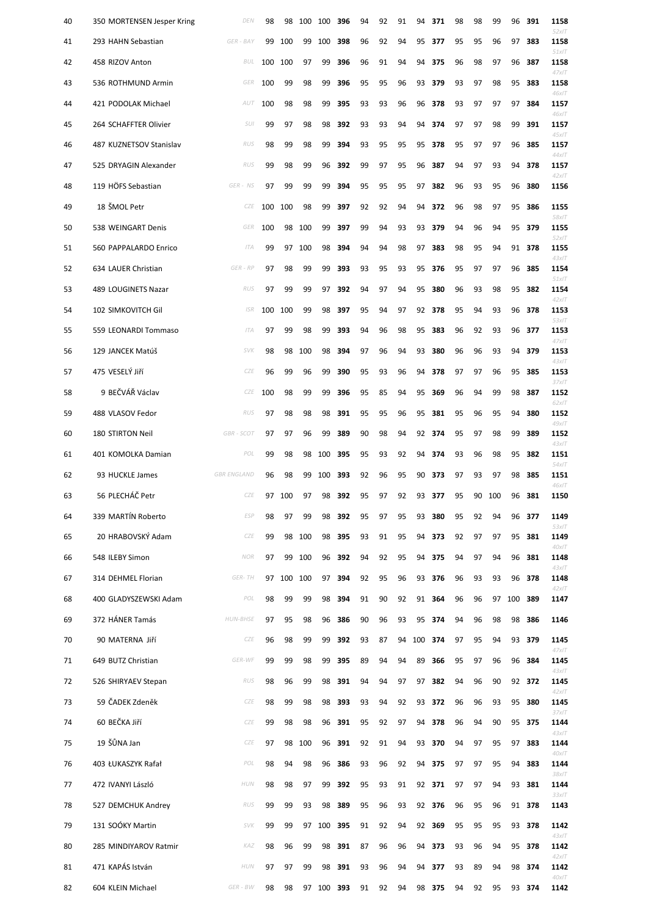| 40 | 350 MORTENSEN Jesper Kring | DEN                | 98  | 98  | 100 | 100        | 396                        | 94 | 92 | 91 | 94  | 371          | 98 | 98 | 99  | 96        | 391    | 1158<br>$52x$ IT |
|----|----------------------------|--------------------|-----|-----|-----|------------|----------------------------|----|----|----|-----|--------------|----|----|-----|-----------|--------|------------------|
| 41 | 293 HAHN Sebastian         | GER - BAY          | 99  | 100 | 99  | 100        | 398                        | 96 | 92 | 94 | 95  | 377          | 95 | 95 | 96  | 97        | 383    | 1158<br>$51x$ IT |
| 42 | 458 RIZOV Anton            | <b>BUL</b>         | 100 | 100 | 97  | 99         | 396                        | 96 | 91 | 94 | 94  | 375          | 96 | 98 | 97  | 96        | 387    | 1158<br>$47x$ IT |
| 43 | 536 ROTHMUND Armin         | GER                | 100 | 99  | 98  | 99         | 396                        | 95 | 95 | 96 | 93  | 379          | 93 | 97 | 98  | 95        | 383    | 1158<br>46xIT    |
| 44 | 421 PODOLAK Michael        | AUT                | 100 | 98  | 98  | 99         | 395                        | 93 | 93 | 96 | 96  | 378          | 93 | 97 | 97  | 97        | 384    | 1157<br>46xIT    |
| 45 | 264 SCHAFFTER Olivier      | SUI                | 99  | 97  | 98  | 98         | 392                        | 93 | 93 | 94 | 94  | 374          | 97 | 97 | 98  | 99        | 391    | 1157<br>$45x$ IT |
| 46 | 487 KUZNETSOV Stanislav    | RUS                | 98  | 99  | 98  | 99         | 394                        | 93 | 95 | 95 | 95  | 378          | 95 | 97 | 97  | 96        | 385    | 1157<br>$44x$ IT |
| 47 | 525 DRYAGIN Alexander      | RUS                | 99  | 98  | 99  | 96         | 392                        | 99 | 97 | 95 | 96  | 387          | 94 | 97 | 93  | 94        | 378    | 1157<br>$42x$ IT |
| 48 | 119 HÖFS Sebastian         | GER - NS           | 97  | 99  | 99  | 99         | 394                        | 95 | 95 | 95 | 97  | 382          | 96 | 93 | 95  | 96        | 380    | 1156             |
| 49 | 18 ŠMOL Petr               | CZE                | 100 | 100 | 98  | 99         | 397                        | 92 | 92 | 94 | 94  | 372          | 96 | 98 | 97  | 95        | 386    | 1155<br>58xIT    |
| 50 | 538 WEINGART Denis         | GER                | 100 | 98  | 100 | 99         | 397                        | 99 | 94 | 93 | 93  | 379          | 94 | 96 | 94  | 95        | 379    | 1155<br>$52x$ IT |
| 51 | 560 PAPPALARDO Enrico      | ITA                | 99  | 97  | 100 | 98         | 394                        | 94 | 94 | 98 | 97  | 383          | 98 | 95 | 94  |           | 91 378 | 1155<br>$43x$ IT |
| 52 | 634 LAUER Christian        | GER - RP           | 97  | 98  | 99  | 99         | 393                        | 93 | 95 | 93 | 95  | 376          | 95 | 97 | 97  | 96        | 385    | 1154<br>$51x$ IT |
| 53 | 489 LOUGINETS Nazar        | RUS                | 97  | 99  | 99  | 97         | 392                        | 94 | 97 | 94 | 95  | 380          | 96 | 93 | 98  | 95        | 382    | 1154<br>$42x$ IT |
| 54 | 102 SIMKOVITCH Gil         | ISR                | 100 | 100 | 99  | 98         | 397                        | 95 | 94 | 97 | 92  | 378          | 95 | 94 | 93  | 96        | 378    | 1153<br>$53x$ IT |
| 55 | 559 LEONARDI Tommaso       | ITA                | 97  | 99  | 98  | 99         | 393                        | 94 | 96 | 98 | 95  | 383          | 96 | 92 | 93  | 96        | 377    | 1153<br>$47x$ IT |
| 56 | 129 JANCEK Matúš           | <b>SVK</b>         | 98  | 98  | 100 | 98         | 394                        | 97 | 96 | 94 | 93  | 380          | 96 | 96 | 93  | 94        | 379    | 1153<br>$43x$ IT |
| 57 | 475 VESELÝ JIří            | CZE                | 96  | 99  | 96  | 99         | 390                        | 95 | 93 | 96 | 94  | 378          | 97 | 97 | 96  | 95        | 385    | 1153<br>$37x$ IT |
| 58 | 9 BEČVÁŘ Václav            |                    |     |     |     |            | CZE 100 98 99 99 396 95 85 |    |    |    |     | 94 95 369 96 |    | 94 |     | 99 98 387 |        | 1152<br>62xIT    |
| 59 | 488 VLASOV Fedor           | RUS                | 97  | 98  | 98  | 98         | 391                        | 95 | 95 | 96 | 95  | 381          | 95 | 96 | 95  | 94        | 380    | 1152<br>$49x$ IT |
| 60 | 180 STIRTON Neil           | GBR - SCOT         | 97  | 97  | 96  | 99         | 389                        | 90 | 98 | 94 | 92  | 374          | 95 | 97 | 98  | 99        | 389    | 1152<br>$43x$ IT |
| 61 | 401 KOMOLKA Damian         | POL                | 99  | 98  | 98  | 100        | 395                        | 95 | 93 | 92 | 94  | 374          | 93 | 96 | 98  | 95        | 382    | 1151<br>$54x$ IT |
| 62 | 93 HUCKLE James            | <b>GBR ENGLAND</b> | 96  | 98  | 99  | 100        | 393                        | 92 | 96 | 95 | 90  | 373          | 97 | 93 | 97  | 98        | 385    | 1151<br>46xIT    |
| 63 | 56 PLECHÁČ Petr            | CZE                | 97  | 100 | 97  | 98         | 392                        | 95 | 97 | 92 | 93  | 377          | 95 | 90 | 100 | 96        | 381    | 1150             |
| 64 | 339 MARTÍN Roberto         | <b>ESP</b>         | 98  | 97  | 99  | 98         | 392                        | 95 | 97 | 95 | 93  | 380          | 95 | 92 | 94  | 96        | 377    | 1149<br>$53x$ IT |
| 65 | 20 HRABOVSKÝ Adam          | CZE                | 99  | 98  | 100 | 98         | 395                        | 93 | 91 | 95 | 94  | 373          | 92 | 97 | 97  | 95        | 381    | 1149<br>$40x$ IT |
| 66 | 548 ILEBY Simon            | <b>NOR</b>         | 97  | 99  | 100 | 96         | 392                        | 94 | 92 | 95 | 94  | 375          | 94 | 97 | 94  | 96        | 381    | 1148<br>$43x$ IT |
| 67 | 314 DEHMEL Florian         | GER-TH             | 97  | 100 | 100 | 97         | 394                        | 92 | 95 | 96 | 93  | 376          | 96 | 93 | 93  | 96        | 378    | 1148<br>$42x$ IT |
| 68 | 400 GLADYSZEWSKI Adam      | POL                | 98  | 99  | 99  | 98         | 394                        | 91 | 90 | 92 | 91  | 364          | 96 | 96 | 97  | 100       | 389    | 1147             |
| 69 | 372 HÁNER Tamás            | <b>HUN-BHSE</b>    | 97  | 95  | 98  | 96         | 386                        | 90 | 96 | 93 | 95  | 374          | 94 | 96 | 98  | 98        | 386    | 1146             |
| 70 | 90 MATERNA Jiří            | CZE                | 96  | 98  | 99  | 99         | 392                        | 93 | 87 | 94 | 100 | 374          | 97 | 95 | 94  | 93        | 379    | 1145<br>$47x$ IT |
| 71 | 649 BUTZ Christian         | GER-WF             | 99  | 99  | 98  | 99         | 395                        | 89 | 94 | 94 | 89  | 366          | 95 | 97 | 96  | 96        | 384    | 1145<br>$43x$ IT |
| 72 | 526 SHIRYAEV Stepan        | RUS                | 98  | 96  | 99  | 98         | 391                        | 94 | 94 | 97 | 97  | 382          | 94 | 96 | 90  |           | 92 372 | 1145<br>$42x$ IT |
| 73 | 59 ČADEK Zdeněk            | CZE                | 98  | 99  | 98  | 98         | 393                        | 93 | 94 | 92 | 93  | 372          | 96 | 96 | 93  | 95        | 380    | 1145<br>$37x$ IT |
| 74 | 60 BEČKA Jiří              | CZE                | 99  | 98  | 98  | 96         | 391                        | 95 | 92 | 97 | 94  | 378          | 96 | 94 | 90  | 95        | 375    | 1144<br>$43x$ IT |
| 75 | 19 ŠŮNA Jan                | CZE                | 97  | 98  | 100 | 96         | 391                        | 92 | 91 | 94 | 93  | 370          | 94 | 97 | 95  | 97        | 383    | 1144<br>40xIT    |
| 76 | 403 ŁUKASZYK Rafał         | POL                | 98  | 94  | 98  | 96         | 386                        | 93 | 96 | 92 | 94  | 375          | 97 | 97 | 95  | 94        | 383    | 1144<br>38xIT    |
| 77 | 472 IVANYI László          | <b>HUN</b>         | 98  | 98  | 97  | 99         | 392                        | 95 | 93 | 91 | 92  | 371          | 97 | 97 | 94  | 93        | 381    | 1144<br>$33x$ IT |
| 78 | 527 DEMCHUK Andrey         | RUS                | 99  | 99  | 93  | 98         | 389                        | 95 | 96 | 93 |     | 92 376       | 96 | 95 | 96  | 91        | 378    | 1143             |
| 79 | 131 SOÓKY Martin           | <i>SVK</i>         | 99  | 99  | 97  | 100        | 395                        | 91 | 92 | 94 | 92  | 369          | 95 | 95 | 95  |           | 93 378 | 1142<br>$43x$ IT |
| 80 | 285 MINDIYAROV Ratmir      | KAZ                | 98  | 96  | 99  | 98         | 391                        | 87 | 96 | 96 |     | 94 373       | 93 | 96 | 94  |           | 95 378 | 1142<br>$42x$ IT |
| 81 | 471 KAPÁS István           | HUN                | 97  | 97  | 99  | 98         | 391                        | 93 | 96 | 94 |     | 94 377       | 93 | 89 | 94  | 98        | 374    | 1142<br>$40x$ IT |
| 82 | 604 KLEIN Michael          | GER - BW           | 98  | 98  |     | 97 100 393 |                            | 91 | 92 | 94 |     | 98 375       | 94 | 92 | 95  |           | 93 374 | 1142             |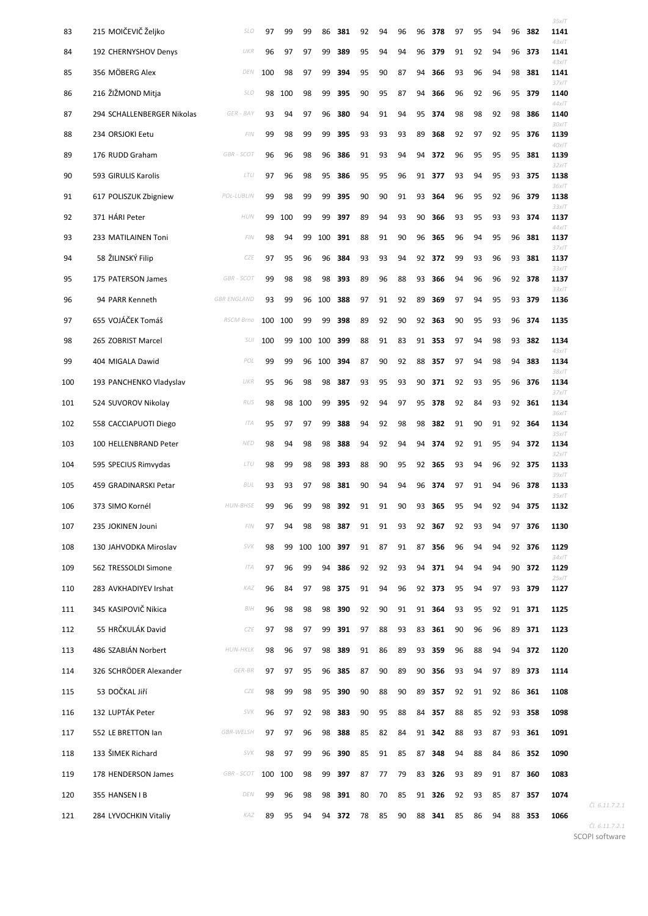| 83  | 215 MOIČEVIČ Željko        | <b>SLO</b>         | 97  | 99  | 99  | 86  | 381    | 92 | 94 | 96 | 96 | 378    | 97 | 95 | 94 | 96 | 382    | 35x/T<br>1141    |
|-----|----------------------------|--------------------|-----|-----|-----|-----|--------|----|----|----|----|--------|----|----|----|----|--------|------------------|
| 84  | 192 CHERNYSHOV Denys       | UKR                | 96  | 97  | 97  | 99  | 389    | 95 | 94 | 94 | 96 | 379    | 91 | 92 | 94 | 96 | 373    | $43x$ IT<br>1141 |
| 85  | 356 MÖBERG Alex            | DEN                | 100 | 98  | 97  | 99  | 394    | 95 | 90 | 87 | 94 | 366    | 93 | 96 | 94 | 98 | 381    | $43x$ IT<br>1141 |
| 86  | 216 ŽIŽMOND Mitja          | <b>SLO</b>         | 98  | 100 | 98  | 99  | 395    | 90 | 95 | 87 | 94 | 366    | 96 | 92 | 96 | 95 | 379    | 37x/T<br>1140    |
| 87  | 294 SCHALLENBERGER Nikolas | GER - BAY          | 93  | 94  | 97  | 96  | 380    | 94 | 91 | 94 | 95 | 374    | 98 | 98 | 92 | 98 | 386    | $44x$ IT<br>1140 |
| 88  | 234 ORSJOKI Eetu           | FIN                | 99  | 98  | 99  | 99  | 395    | 93 | 93 | 93 | 89 | 368    | 92 | 97 | 92 | 95 | 376    | 30xIT<br>1139    |
| 89  | 176 RUDD Graham            | <b>GBR - SCOT</b>  | 96  | 96  | 98  | 96  | 386    | 91 | 93 | 94 | 94 | 372    | 96 | 95 | 95 | 95 | 381    | $40x$ IT<br>1139 |
| 90  | 593 GIRULIS Karolis        | LTU                | 97  | 96  | 98  | 95  | 386    | 95 | 95 | 96 | 91 | 377    | 93 | 94 | 95 | 93 | 375    | 32x/T<br>1138    |
| 91  | 617 POLISZUK Zbigniew      | POL-LUBLIN         | 99  | 98  | 99  | 99  | 395    | 90 | 90 | 91 | 93 | 364    | 96 | 95 | 92 | 96 | 379    | 36xIT<br>1138    |
| 92  | 371 HÁRI Peter             | <b>HUN</b>         | 99  | 100 | 99  | 99  | 397    | 89 | 94 | 93 | 90 | 366    | 93 | 95 | 93 | 93 | 374    | 33x/T<br>1137    |
| 93  | 233 MATILAINEN Toni        | FIN                | 98  | 94  | 99  | 100 | 391    | 88 | 91 | 90 | 96 | 365    | 96 | 94 | 95 | 96 | 381    | $44x$ IT<br>1137 |
| 94  | 58 ŽILINSKÝ Filip          | CZE                | 97  | 95  | 96  | 96  | 384    | 93 | 93 | 94 | 92 | 372    | 99 | 93 | 96 | 93 | 381    | 37x/T<br>1137    |
| 95  | 175 PATERSON James         | <b>GBR - SCOT</b>  | 99  | 98  | 98  | 98  | 393    | 89 | 96 | 88 | 93 | 366    | 94 | 96 | 96 |    | 92 378 | 33x/T<br>1137    |
| 96  | 94 PARR Kenneth            | <b>GBR ENGLAND</b> | 93  | 99  | 96  | 100 | 388    | 97 | 91 | 92 | 89 | 369    | 97 | 94 | 95 | 93 | 379    | 33x/T<br>1136    |
| 97  | 655 VOJÁČEK Tomáš          | RSCM Brno          | 100 | 100 | 99  | 99  | 398    | 89 | 92 | 90 | 92 | 363    | 90 | 95 | 93 | 96 | 374    | 1135             |
| 98  | 265 ZOBRIST Marcel         | SUI                | 100 | 99  | 100 | 100 | 399    | 88 | 91 | 83 | 91 | 353    | 97 | 94 | 98 | 93 | 382    | 1134             |
| 99  | 404 MIGALA Dawid           | POL                | 99  | 99  | 96  | 100 | 394    | 87 | 90 | 92 | 88 | 357    | 97 | 94 | 98 | 94 | 383    | $43x$ IT<br>1134 |
| 100 | 193 PANCHENKO Vladyslav    | UKR                | 95  | 96  | 98  | 98  | 387    | 93 | 95 | 93 | 90 | 371    | 92 | 93 | 95 | 96 | 376    | 38xIT<br>1134    |
| 101 | 524 SUVOROV Nikolay        | RUS                | 98  | 98  | 100 | 99  | 395    | 92 | 94 | 97 | 95 | 378    | 92 | 84 | 93 |    | 92 361 | 37x/T<br>1134    |
| 102 | 558 CACCIAPUOTI Diego      | ITA                | 95  | 97  | 97  | 99  | 388    | 94 | 92 | 98 | 98 | 382    | 91 | 90 | 91 | 92 | 364    | 36xIT<br>1134    |
| 103 | 100 HELLENBRAND Peter      | <b>NED</b>         | 98  | 94  | 98  | 98  | 388    | 94 | 92 | 94 | 94 | 374    | 92 | 91 | 95 | 94 | 372    | 35x/T<br>1134    |
| 104 | 595 SPECIUS Rimvydas       | LTU                | 98  | 99  | 98  | 98  | 393    | 88 | 90 | 95 | 92 | 365    | 93 | 94 | 96 |    | 92 375 | 32x/T<br>1133    |
| 105 | 459 GRADINARSKI Petar      | BUL                | 93  | 93  | 97  | 98  | 381    | 90 | 94 | 94 | 96 | 374    | 97 | 91 | 94 |    | 96 378 | $39x$ IT<br>1133 |
| 106 | 373 SIMO Kornél            | <b>HUN-BHSE</b>    | 99  | 96  | 99  | 98  | 392    | 91 | 91 | 90 | 93 | 365    | 95 | 94 | 92 | 94 | 375    | 35x/T<br>1132    |
| 107 | 235 JOKINEN Jouni          | FIN                | 97  | 94  | 98  | 98  | 387    | 91 | 91 | 93 | 92 | 367    | 92 | 93 | 94 | 97 | 376    | 1130             |
| 108 | 130 JAHVODKA Miroslav      | <b>SVK</b>         | 98  | 99  | 100 | 100 | 397    | 91 | 87 | 91 | 87 | 356    | 96 | 94 | 94 | 92 | 376    | 1129             |
| 109 | 562 TRESSOLDI Simone       | ITA                | 97  | 96  | 99  | 94  | 386    | 92 | 92 | 93 | 94 | 371    | 94 | 94 | 94 | 90 | 372    | $34x$ IT<br>1129 |
| 110 | 283 AVKHADIYEV Irshat      | KAZ                | 96  | 84  | 97  | 98  | 375    | 91 | 94 | 96 | 92 | 373    | 95 | 94 | 97 | 93 | 379    | $25x$ IT<br>1127 |
| 111 | 345 KASIPOVIČ Nikica       | BIH                | 96  | 98  | 98  | 98  | 390    | 92 | 90 | 91 | 91 | 364    | 93 | 95 | 92 | 91 | 371    | 1125             |
| 112 | 55 HRČKULÁK David          | CZE                | 97  | 98  | 97  | 99  | 391    | 97 | 88 | 93 | 83 | 361    | 90 | 96 | 96 | 89 | 371    | 1123             |
| 113 | 486 SZABIÁN Norbert        | HUN-HKLK           | 98  | 96  | 97  | 98  | 389    | 91 | 86 | 89 | 93 | 359    | 96 | 88 | 94 | 94 | 372    | 1120             |
| 114 | 326 SCHRÖDER Alexander     | GER-BR             | 97  | 97  | 95  | 96  | 385    | 87 | 90 | 89 | 90 | 356    | 93 | 94 | 97 | 89 | 373    | 1114             |
| 115 | 53 DOČKAL Jiří             | CZE                | 98  | 99  | 98  | 95  | 390    | 90 | 88 | 90 | 89 | 357    | 92 | 91 | 92 | 86 | 361    | 1108             |
| 116 | 132 LUPTÁK Peter           | SVK                | 96  | 97  | 92  | 98  | 383    | 90 | 95 | 88 | 84 | 357    | 88 | 85 | 92 | 93 | 358    | 1098             |
| 117 | 552 LE BRETTON lan         | <b>GBR-WELSH</b>   | 97  | 97  | 96  | 98  | 388    | 85 | 82 | 84 | 91 | 342    | 88 | 93 | 87 | 93 | 361    | 1091             |
| 118 | 133 ŠIMEK Richard          | <b>SVK</b>         | 98  | 97  | 99  | 96  | 390    | 85 | 91 | 85 | 87 | 348    | 94 | 88 | 84 | 86 | 352    | 1090             |
| 119 | 178 HENDERSON James        | GBR-SCOT 100 100   |     |     | 98  |     | 99 397 | 87 | 77 | 79 |    | 83 326 | 93 | 89 | 91 |    | 87 360 | 1083             |
| 120 | 355 HANSEN I B             | DEN                | 99  | 96  | 98  |     | 98 391 | 80 | 70 | 85 |    | 91 326 | 92 | 93 | 85 |    | 87 357 | 1074             |
| 121 | 284 LYVOCHKIN Vitaliy      | KAZ                | 89  | 95  | 94  |     | 94 372 | 78 | 85 | 90 |    | 88 341 | 85 | 86 | 94 |    | 88 353 | 1066             |

*Čl. 6.11.7.2.1*

*Čl. 6.11.7.2.1*

SCOPI software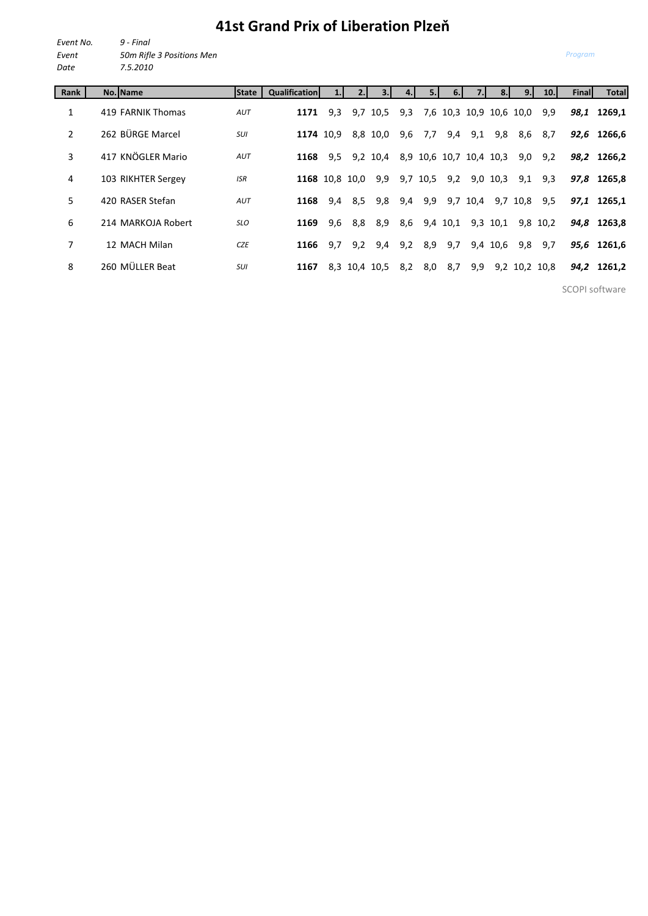## **41st Grand Prix of Liberation Plzeň**

| Event No. | 9 - Final                 |
|-----------|---------------------------|
| Event     | 50m Rifle 3 Positions Men |
| Date      | 7.5.2010                  |

| Rank           | No. Name           | <b>State</b> | <b>Qualification</b> |     |     |               |     | 5.       | 6.       |                         |            | 9.1  | 10.           | Finall | Total       |
|----------------|--------------------|--------------|----------------------|-----|-----|---------------|-----|----------|----------|-------------------------|------------|------|---------------|--------|-------------|
| 1              | 419 FARNIK Thomas  | AUT          | 1171                 | 9,3 |     | 9,7 10,5      | 9,3 |          |          | 7,6 10,3 10,9 10,6 10,0 |            |      | 9,9           | 98,1   | 1269.1      |
| $\overline{2}$ | 262 BÜRGE Marcel   | SUI          | 1174 10.9            |     |     | 8,8 10,0      |     | 9,6 7,7  | 9,4      | 9,1                     | 9,8        | 8,6  | 8,7           |        | 92,6 1266,6 |
| 3              | 417 KNÖGLER Mario  | AUT          | 1168                 | 9,5 |     | 9,2 10,4      |     |          |          | 8,9 10,6 10,7 10,4 10,3 |            | 9,0  | 9,2           | 98,2   | 1266.2      |
| 4              | 103 RIKHTER Sergey | <b>ISR</b>   | 1168 10.8 10.0       |     |     | 9,9           |     | 9,7 10,5 | 9,2      |                         | $9,0$ 10,3 | 9,1  | 9,3           |        | 97,8 1265,8 |
| 5              | 420 RASER Stefan   | AUT          | 1168                 | 9,4 | 8,5 | 9,8           | 9,4 | 9,9      | 9,7      | 10,4                    | 9,7        | 10,8 | 9,5           | 97,1   | 1265.1      |
| 6              | 214 MARKOJA Robert | <b>SLO</b>   | 1169                 | 9,6 | 8,8 | 8,9           | 8,6 |          | 9,4 10,1 |                         | 9,3 10,1   |      | 9,8 10,2      |        | 94,8 1263,8 |
| 7              | 12 MACH Milan      | <b>CZE</b>   | 1166                 | 9,7 | 9,2 | 9,4           |     | 9,2 8,9  | 9,7      |                         | 9,4 10,6   | 9,8  | 9,7           |        | 95,6 1261,6 |
| 8              | 260 MÜLLER Beat    | <b>SUI</b>   | 1167                 |     |     | 8,3 10,4 10,5 | 8,2 | 8,0      | 8,7      | 9,9                     |            |      | 9,2 10,2 10,8 |        | 94,2 1261,2 |

SCOPI software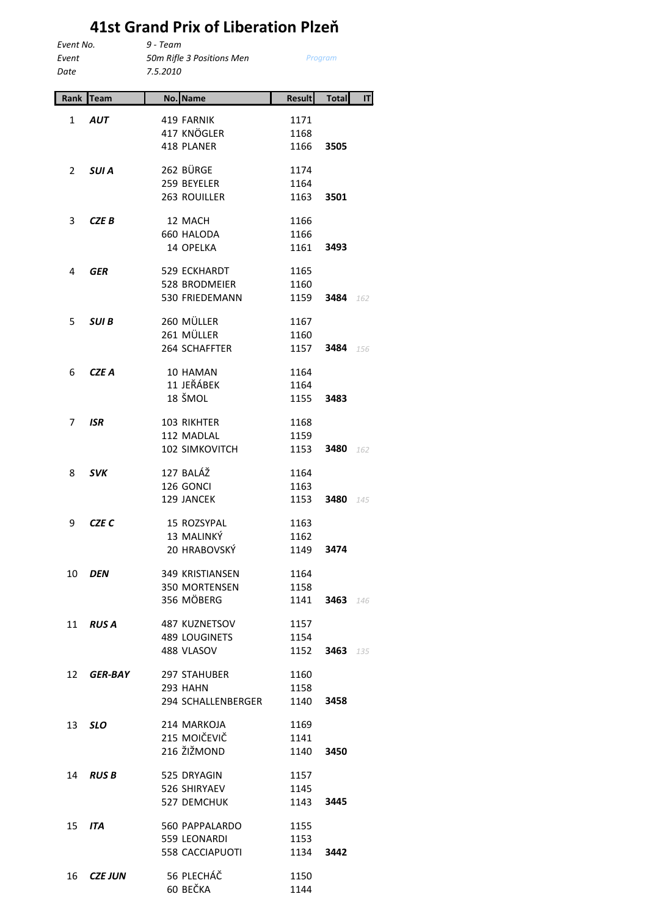## **41st Grand Prix of Liberation Plzeň**

| Event No. |                | $9 - Team$                |               |              |     |
|-----------|----------------|---------------------------|---------------|--------------|-----|
| Event     |                | 50m Rifle 3 Positions Men |               | Program      |     |
| Date      |                | 7.5.2010                  |               |              |     |
| Rank      | <b>Team</b>    | No. Name                  | <b>Result</b> | <b>Total</b> | IT  |
| 1         | <b>AUT</b>     | 419 FARNIK                | 1171          |              |     |
|           |                | 417 KNÖGLER               | 1168          |              |     |
|           |                | 418 PLANER                | 1166          | 3505         |     |
| 2         | <b>SUIA</b>    | 262 BÜRGE                 | 1174          |              |     |
|           |                | 259 BEYELER               | 1164          |              |     |
|           |                | 263 ROUILLER              | 1163          | 3501         |     |
| 3         | CZE B          | 12 MACH                   | 1166          |              |     |
|           |                | 660 HALODA                | 1166          |              |     |
|           |                | 14 OPELKA                 | 1161          | 3493         |     |
| 4         | GER            | 529 ECKHARDT              | 1165          |              |     |
|           |                | <b>528 BRODMEIER</b>      | 1160          |              |     |
|           |                | 530 FRIEDEMANN            | 1159          | 3484         | 162 |
| 5         | SUI B          | 260 MÜLLER                | 1167          |              |     |
|           |                | 261 MÜLLER                | 1160          |              |     |
|           |                | 264 SCHAFFTER             | 1157          | 3484         | 156 |
|           |                |                           |               |              |     |
| 6         | <b>CZE A</b>   | 10 HAMAN                  | 1164          |              |     |
|           |                | 11 JEŘÁBEK                | 1164          |              |     |
|           |                | 18 ŠMOL                   | 1155          | 3483         |     |
| 7         | <b>ISR</b>     | 103 RIKHTER               | 1168          |              |     |
|           |                | 112 MADLAL                | 1159          |              |     |
|           |                | 102 SIMKOVITCH            | 1153          | 3480         | 162 |
| 8         | <b>SVK</b>     | 127 BALÁŽ                 | 1164          |              |     |
|           |                | 126 GONCI                 | 1163          |              |     |
|           |                | 129 JANCEK                | 1153          | 3480         | 145 |
| 9         | <b>CZE C</b>   | 15 ROZSYPAL               | 1163          |              |     |
|           |                | 13 MALINKÝ                | 1162          |              |     |
|           |                | 20 HRABOVSKÝ              | 1149          | 3474         |     |
| 10        | <b>DEN</b>     | 349 KRISTIANSEN           | 1164          |              |     |
|           |                | 350 MORTENSEN             | 1158          |              |     |
|           |                | 356 MÖBERG                | 1141          | 3463         | 146 |
| 11        | <b>RUSA</b>    | 487 KUZNETSOV             | 1157          |              |     |
|           |                | 489 LOUGINETS             | 1154          |              |     |
|           |                | 488 VLASOV                | 1152          | 3463         | 135 |
|           |                |                           |               |              |     |
| 12        | <b>GER-BAY</b> | 297 STAHUBER              | 1160          |              |     |
|           |                | <b>293 HAHN</b>           | 1158          |              |     |
|           |                | 294 SCHALLENBERGER        | 1140          | 3458         |     |
| 13        | <b>SLO</b>     | 214 MARKOJA               | 1169          |              |     |
|           |                | 215 MOIČEVIČ              | 1141          |              |     |
|           |                | 216 ŽIŽMOND               | 1140          | 3450         |     |
| 14        | <b>RUS B</b>   | 525 DRYAGIN               | 1157          |              |     |
|           |                | 526 SHIRYAEV              | 1145          |              |     |
|           |                | 527 DEMCHUK               | 1143          | 3445         |     |
| 15        | ITA            | 560 PAPPALARDO            | 1155          |              |     |
|           |                | 559 LEONARDI              | 1153          |              |     |
|           |                | <b>558 CACCIAPUOTI</b>    | 1134          | 3442         |     |
| 16        | <b>CZE JUN</b> | 56 PLECHÁČ                | 1150          |              |     |
|           |                | 60 BEČKA                  | 1144          |              |     |
|           |                |                           |               |              |     |